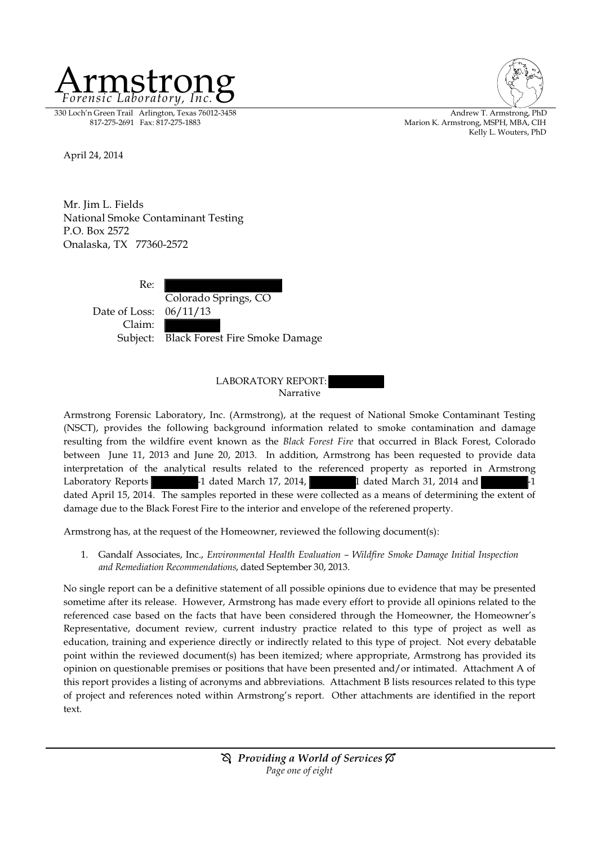

330 Loch'n Green Trail Arlington, Texas 76012-3458 Andrew T. Armstrong, PhD (1990) Andrew T. Armstrong, PhD (1<br>Marion K. Armstrong, MSPH. MBA. CIH (1991) Andrew T. Armstrong, MSPH. MBA. CIH



Marion K. Armstrong, MSPH, MBA, CIH Kelly L. Wouters, PhD

April 24, 2014

Mr. Jim L. Fields National Smoke Contaminant Testing P.O. Box 2572 Onalaska, TX 77360-2572

> Re: Colorado Springs, CO Date of Loss: 06/11/13 Claim: Subject: Black Forest Fire Smoke Damage

#### LABORATORY REPORT: Narrative

Armstrong Forensic Laboratory, Inc. (Armstrong), at the request of National Smoke Contaminant Testing (NSCT), provides the following background information related to smoke contamination and damage resulting from the wildfire event known as the *Black Forest Fire* that occurred in Black Forest, Colorado between June 11, 2013 and June 20, 2013. In addition, Armstrong has been requested to provide data interpretation of the analytical results related to the referenced property as reported in Armstrong Laboratory Reports  $-1$  dated March 17, 2014,  $1$  dated March 31, 2014 and  $-1$ dated April 15, 2014. The samples reported in these were collected as a means of determining the extent of damage due to the Black Forest Fire to the interior and envelope of the referened property.

Armstrong has, at the request of the Homeowner, reviewed the following document(s):

1. Gandalf Associates, Inc., *Environmental Health Evaluation – Wildfire Smoke Damage Initial Inspection and Remediation Recommendations*, dated September 30, 2013.

No single report can be a definitive statement of all possible opinions due to evidence that may be presented sometime after its release. However, Armstrong has made every effort to provide all opinions related to the referenced case based on the facts that have been considered through the Homeowner, the Homeowner's Representative, document review, current industry practice related to this type of project as well as education, training and experience directly or indirectly related to this type of project. Not every debatable point within the reviewed document(s) has been itemized; where appropriate, Armstrong has provided its opinion on questionable premises or positions that have been presented and/or intimated. Attachment A of this report provides a listing of acronyms and abbreviations. Attachment B lists resources related to this type of project and references noted within Armstrong's report. Other attachments are identified in the report text.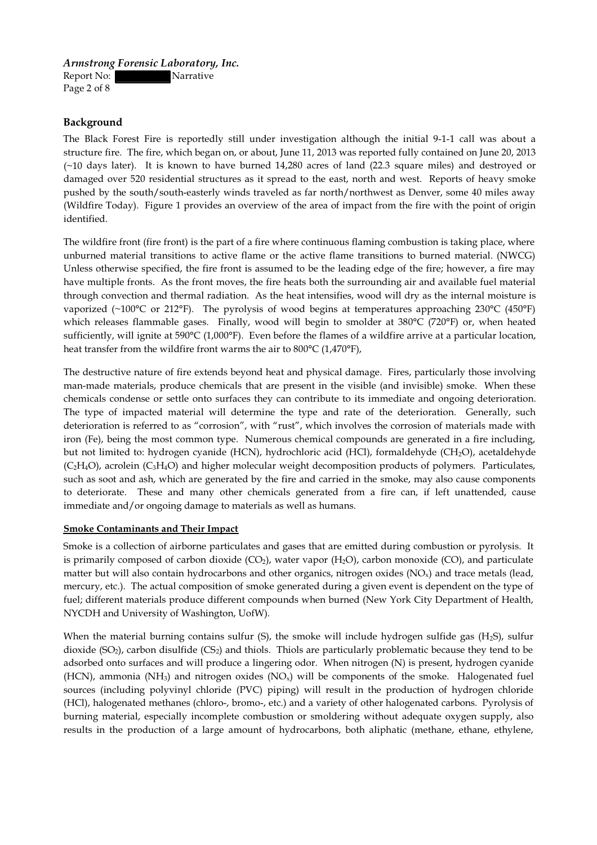Report No: Narrative Page 2 of 8

**Background**

The Black Forest Fire is reportedly still under investigation although the initial 9-1-1 call was about a structure fire. The fire, which began on, or about, June 11, 2013 was reported fully contained on June 20, 2013 (~10 days later). It is known to have burned 14,280 acres of land (22.3 square miles) and destroyed or damaged over 520 residential structures as it spread to the east, north and west. Reports of heavy smoke pushed by the south/south-easterly winds traveled as far north/northwest as Denver, some 40 miles away (Wildfire Today). Figure 1 provides an overview of the area of impact from the fire with the point of origin identified.

The wildfire front (fire front) is the part of a fire where continuous flaming combustion is taking place, where unburned material transitions to active flame or the active flame transitions to burned material. (NWCG) Unless otherwise specified, the fire front is assumed to be the leading edge of the fire; however, a fire may have multiple fronts. As the front moves, the fire heats both the surrounding air and available fuel material through convection and thermal radiation. As the heat intensifies, wood will dry as the internal moisture is vaporized (~100°C or 212°F). The pyrolysis of wood begins at temperatures approaching 230°C (450°F) which releases flammable gases. Finally, wood will begin to smolder at 380°C (720°F) or, when heated sufficiently, will ignite at 590°C (1,000°F). Even before the flames of a wildfire arrive at a particular location, heat transfer from the wildfire front warms the air to 800°C (1,470°F),

The destructive nature of fire extends beyond heat and physical damage. Fires, particularly those involving man-made materials, produce chemicals that are present in the visible (and invisible) smoke. When these chemicals condense or settle onto surfaces they can contribute to its immediate and ongoing deterioration. The type of impacted material will determine the type and rate of the deterioration. Generally, such deterioration is referred to as "corrosion", with "rust", which involves the corrosion of materials made with iron (Fe), being the most common type. Numerous chemical compounds are generated in a fire including, but not limited to: hydrogen cyanide (HCN), hydrochloric acid (HCl), formaldehyde (CH2O), acetaldehyde (C<sub>2</sub>H<sub>4</sub>O), acrolein (C<sub>3</sub>H<sub>4</sub>O) and higher molecular weight decomposition products of polymers. Particulates, such as soot and ash, which are generated by the fire and carried in the smoke, may also cause components to deteriorate. These and many other chemicals generated from a fire can, if left unattended, cause immediate and/or ongoing damage to materials as well as humans.

#### **Smoke Contaminants and Their Impact**

Smoke is a collection of airborne particulates and gases that are emitted during combustion or pyrolysis. It is primarily composed of carbon dioxide  $(CO_2)$ , water vapor  $(H_2O)$ , carbon monoxide  $(CO)$ , and particulate matter but will also contain hydrocarbons and other organics, nitrogen oxides  $(NO_x)$  and trace metals (lead, mercury, etc.). The actual composition of smoke generated during a given event is dependent on the type of fuel; different materials produce different compounds when burned (New York City Department of Health, NYCDH and University of Washington, UofW).

When the material burning contains sulfur  $(S)$ , the smoke will include hydrogen sulfide gas  $(H_2S)$ , sulfur dioxide  $(SO<sub>2</sub>)$ , carbon disulfide  $(CS<sub>2</sub>)$  and thiols. Thiols are particularly problematic because they tend to be adsorbed onto surfaces and will produce a lingering odor. When nitrogen (N) is present, hydrogen cyanide (HCN), ammonia (NH<sub>3</sub>) and nitrogen oxides (NO<sub>x</sub>) will be components of the smoke. Halogenated fuel sources (including polyvinyl chloride (PVC) piping) will result in the production of hydrogen chloride (HCl), halogenated methanes (chloro-, bromo-, etc.) and a variety of other halogenated carbons. Pyrolysis of burning material, especially incomplete combustion or smoldering without adequate oxygen supply, also results in the production of a large amount of hydrocarbons, both aliphatic (methane, ethane, ethylene,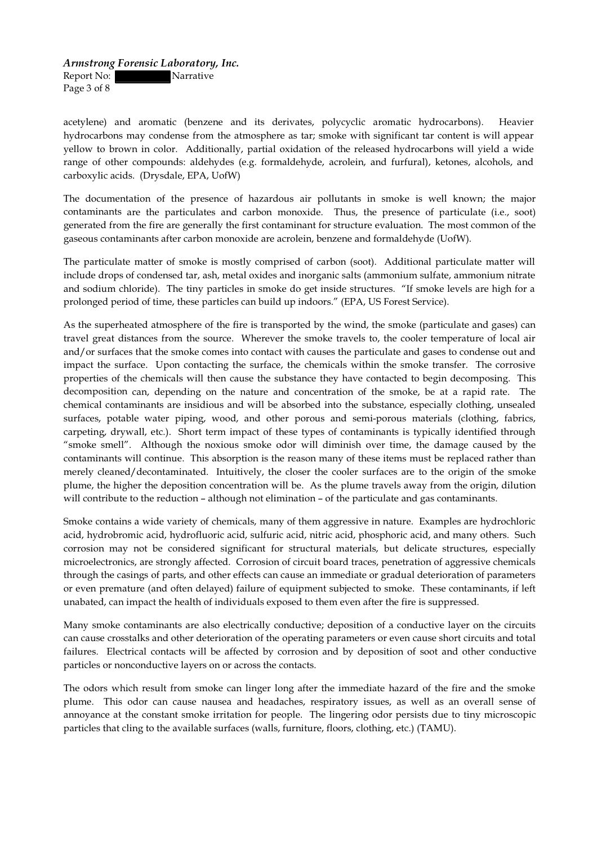Report No: Narrative Page 3 of 8

acetylene) and aromatic (benzene and its derivates, polycyclic aromatic hydrocarbons). Heavier hydrocarbons may condense from the atmosphere as tar; smoke with significant tar content is will appear yellow to brown in color. Additionally, partial oxidation of the released hydrocarbons will yield a wide range of other compounds: aldehydes (e.g. formaldehyde, acrolein, and furfural), ketones, alcohols, and carboxylic acids. (Drysdale, EPA, UofW)

The documentation of the presence of hazardous air pollutants in smoke is well known; the major contaminants are the particulates and carbon monoxide. Thus, the presence of particulate (i.e., soot) generated from the fire are generally the first contaminant for structure evaluation. The most common of the gaseous contaminants after carbon monoxide are acrolein, benzene and formaldehyde (UofW).

The particulate matter of smoke is mostly comprised of carbon (soot). Additional particulate matter will include drops of condensed tar, ash, metal oxides and inorganic salts (ammonium sulfate, ammonium nitrate and sodium chloride). The tiny particles in smoke do get inside structures. "If smoke levels are high for a prolonged period of time, these particles can build up indoors." (EPA, US Forest Service).

As the superheated atmosphere of the fire is transported by the wind, the smoke (particulate and gases) can travel great distances from the source. Wherever the smoke travels to, the cooler temperature of local air and/or surfaces that the smoke comes into contact with causes the particulate and gases to condense out and impact the surface. Upon contacting the surface, the chemicals within the smoke transfer. The corrosive properties of the chemicals will then cause the substance they have contacted to begin decomposing. This decomposition can, depending on the nature and concentration of the smoke, be at a rapid rate. The chemical contaminants are insidious and will be absorbed into the substance, especially clothing, unsealed surfaces, potable water piping, wood, and other porous and semi-porous materials (clothing, fabrics, carpeting, drywall, etc.). Short term impact of these types of contaminants is typically identified through "smoke smell". Although the noxious smoke odor will diminish over time, the damage caused by the contaminants will continue. This absorption is the reason many of these items must be replaced rather than merely cleaned/decontaminated. Intuitively, the closer the cooler surfaces are to the origin of the smoke plume, the higher the deposition concentration will be. As the plume travels away from the origin, dilution will contribute to the reduction – although not elimination – of the particulate and gas contaminants.

Smoke contains a wide variety of chemicals, many of them aggressive in nature. Examples are hydrochloric acid, hydrobromic acid, hydrofluoric acid, sulfuric acid, nitric acid, phosphoric acid, and many others. Such corrosion may not be considered significant for structural materials, but delicate structures, especially microelectronics, are strongly affected. Corrosion of circuit board traces, penetration of aggressive chemicals through the casings of parts, and other effects can cause an immediate or gradual deterioration of parameters or even premature (and often delayed) failure of equipment subjected to smoke. These contaminants, if left unabated, can impact the health of individuals exposed to them even after the fire is suppressed.

Many smoke contaminants are also electrically conductive; deposition of a conductive layer on the circuits can cause crosstalks and other deterioration of the operating parameters or even cause short circuits and total failures. Electrical contacts will be affected by corrosion and by deposition of soot and other conductive particles or nonconductive layers on or across the contacts.

The odors which result from smoke can linger long after the immediate hazard of the fire and the smoke plume. This odor can cause nausea and headaches, respiratory issues, as well as an overall sense of annoyance at the constant smoke irritation for people. The lingering odor persists due to tiny microscopic particles that cling to the available surfaces (walls, furniture, floors, clothing, etc.) (TAMU).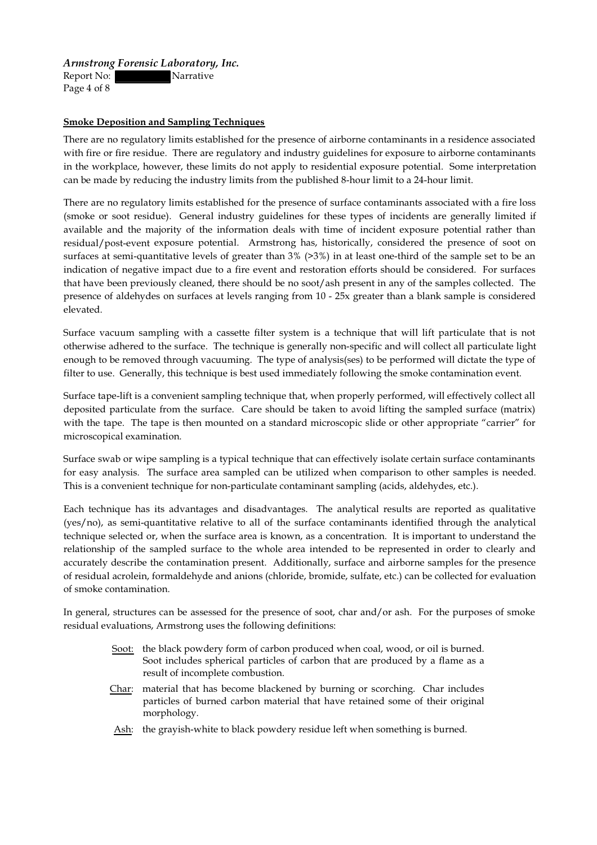Report No: Narrative Page 4 of 8

#### **Smoke Deposition and Sampling Techniques**

There are no regulatory limits established for the presence of airborne contaminants in a residence associated with fire or fire residue. There are regulatory and industry guidelines for exposure to airborne contaminants in the workplace, however, these limits do not apply to residential exposure potential. Some interpretation can be made by reducing the industry limits from the published 8-hour limit to a 24-hour limit.

There are no regulatory limits established for the presence of surface contaminants associated with a fire loss (smoke or soot residue). General industry guidelines for these types of incidents are generally limited if available and the majority of the information deals with time of incident exposure potential rather than residual/post-event exposure potential. Armstrong has, historically, considered the presence of soot on surfaces at semi-quantitative levels of greater than 3% (>3%) in at least one-third of the sample set to be an indication of negative impact due to a fire event and restoration efforts should be considered. For surfaces that have been previously cleaned, there should be no soot/ash present in any of the samples collected. The presence of aldehydes on surfaces at levels ranging from 10 - 25x greater than a blank sample is considered elevated.

Surface vacuum sampling with a cassette filter system is a technique that will lift particulate that is not otherwise adhered to the surface. The technique is generally non-specific and will collect all particulate light enough to be removed through vacuuming. The type of analysis(ses) to be performed will dictate the type of filter to use. Generally, this technique is best used immediately following the smoke contamination event.

Surface tape-lift is a convenient sampling technique that, when properly performed, will effectively collect all deposited particulate from the surface. Care should be taken to avoid lifting the sampled surface (matrix) with the tape. The tape is then mounted on a standard microscopic slide or other appropriate "carrier" for microscopical examination.

Surface swab or wipe sampling is a typical technique that can effectively isolate certain surface contaminants for easy analysis. The surface area sampled can be utilized when comparison to other samples is needed. This is a convenient technique for non-particulate contaminant sampling (acids, aldehydes, etc.).

Each technique has its advantages and disadvantages. The analytical results are reported as qualitative (yes/no), as semi-quantitative relative to all of the surface contaminants identified through the analytical technique selected or, when the surface area is known, as a concentration. It is important to understand the relationship of the sampled surface to the whole area intended to be represented in order to clearly and accurately describe the contamination present. Additionally, surface and airborne samples for the presence of residual acrolein, formaldehyde and anions (chloride, bromide, sulfate, etc.) can be collected for evaluation of smoke contamination.

In general, structures can be assessed for the presence of soot, char and/or ash. For the purposes of smoke residual evaluations, Armstrong uses the following definitions:

- Soot: the black powdery form of carbon produced when coal, wood, or oil is burned. Soot includes spherical particles of carbon that are produced by a flame as a result of incomplete combustion.
- Char: material that has become blackened by burning or scorching. Char includes particles of burned carbon material that have retained some of their original morphology.
- Ash: the grayish-white to black powdery residue left when something is burned.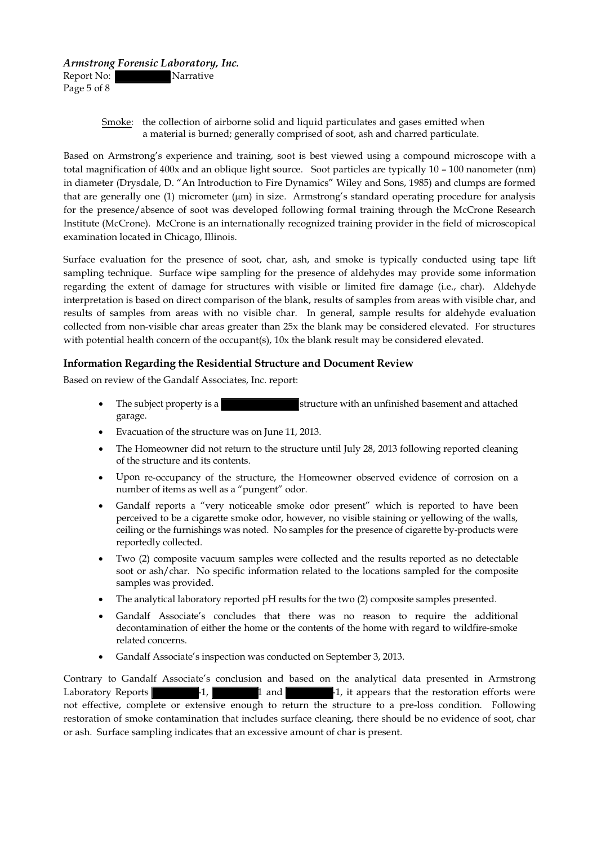Report No: Narrative Page 5 of 8

#### Smoke: the collection of airborne solid and liquid particulates and gases emitted when a material is burned; generally comprised of soot, ash and charred particulate.

Based on Armstrong's experience and training, soot is best viewed using a compound microscope with a total magnification of 400x and an oblique light source. Soot particles are typically 10 – 100 nanometer (nm) in diameter (Drysdale, D. "An Introduction to Fire Dynamics" Wiley and Sons, 1985) and clumps are formed that are generally one  $(1)$  micrometer  $(\mu m)$  in size. Armstrong's standard operating procedure for analysis for the presence/absence of soot was developed following formal training through the McCrone Research Institute (McCrone). McCrone is an internationally recognized training provider in the field of microscopical examination located in Chicago, Illinois.

Surface evaluation for the presence of soot, char, ash, and smoke is typically conducted using tape lift sampling technique. Surface wipe sampling for the presence of aldehydes may provide some information regarding the extent of damage for structures with visible or limited fire damage (i.e., char). Aldehyde interpretation is based on direct comparison of the blank, results of samples from areas with visible char, and results of samples from areas with no visible char. In general, sample results for aldehyde evaluation collected from non-visible char areas greater than 25x the blank may be considered elevated. For structures with potential health concern of the occupant(s), 10x the blank result may be considered elevated.

## **Information Regarding the Residential Structure and Document Review**

Based on review of the Gandalf Associates, Inc. report:

- The subject property is a structure with an unfinished basement and attached garage.
- Evacuation of the structure was on June 11, 2013.
- The Homeowner did not return to the structure until July 28, 2013 following reported cleaning of the structure and its contents.
- · Upon re-occupancy of the structure, the Homeowner observed evidence of corrosion on a number of items as well as a "pungent" odor.
- Gandalf reports a "very noticeable smoke odor present" which is reported to have been perceived to be a cigarette smoke odor, however, no visible staining or yellowing of the walls, ceiling or the furnishings was noted. No samples for the presence of cigarette by-products were reportedly collected.
- · Two (2) composite vacuum samples were collected and the results reported as no detectable soot or ash/char. No specific information related to the locations sampled for the composite samples was provided.
- The analytical laboratory reported pH results for the two (2) composite samples presented.
- Gandalf Associate's concludes that there was no reason to require the additional decontamination of either the home or the contents of the home with regard to wildfire-smoke related concerns.
- · Gandalf Associate's inspection was conducted on September 3, 2013.

Contrary to Gandalf Associate's conclusion and based on the analytical data presented in Armstrong Laboratory Reports -1, 1 and -1, it appears that the restoration efforts were not effective, complete or extensive enough to return the structure to a pre-loss condition. Following restoration of smoke contamination that includes surface cleaning, there should be no evidence of soot, char or ash. Surface sampling indicates that an excessive amount of char is present.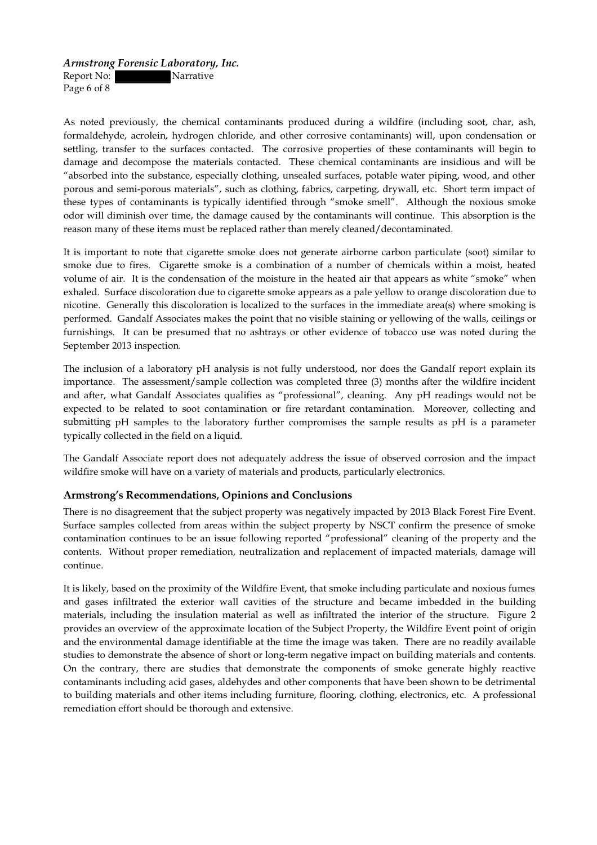Report No: Narrative Page 6 of 8

As noted previously, the chemical contaminants produced during a wildfire (including soot, char, ash, formaldehyde, acrolein, hydrogen chloride, and other corrosive contaminants) will, upon condensation or settling, transfer to the surfaces contacted. The corrosive properties of these contaminants will begin to damage and decompose the materials contacted. These chemical contaminants are insidious and will be "absorbed into the substance, especially clothing, unsealed surfaces, potable water piping, wood, and other porous and semi-porous materials", such as clothing, fabrics, carpeting, drywall, etc. Short term impact of these types of contaminants is typically identified through "smoke smell". Although the noxious smoke odor will diminish over time, the damage caused by the contaminants will continue. This absorption is the reason many of these items must be replaced rather than merely cleaned/decontaminated.

It is important to note that cigarette smoke does not generate airborne carbon particulate (soot) similar to smoke due to fires. Cigarette smoke is a combination of a number of chemicals within a moist, heated volume of air. It is the condensation of the moisture in the heated air that appears as white "smoke" when exhaled. Surface discoloration due to cigarette smoke appears as a pale yellow to orange discoloration due to nicotine. Generally this discoloration is localized to the surfaces in the immediate area(s) where smoking is performed. Gandalf Associates makes the point that no visible staining or yellowing of the walls, ceilings or furnishings. It can be presumed that no ashtrays or other evidence of tobacco use was noted during the September 2013 inspection.

The inclusion of a laboratory pH analysis is not fully understood, nor does the Gandalf report explain its importance. The assessment/sample collection was completed three (3) months after the wildfire incident and after, what Gandalf Associates qualifies as "professional", cleaning. Any pH readings would not be expected to be related to soot contamination or fire retardant contamination. Moreover, collecting and submitting pH samples to the laboratory further compromises the sample results as pH is a parameter typically collected in the field on a liquid.

The Gandalf Associate report does not adequately address the issue of observed corrosion and the impact wildfire smoke will have on a variety of materials and products, particularly electronics.

#### **Armstrong's Recommendations,Opinions and Conclusions**

There is no disagreement that the subject property was negatively impacted by 2013 Black Forest Fire Event. Surface samples collected from areas within the subject property by NSCT confirm the presence of smoke contamination continues to be an issue following reported "professional" cleaning of the property and the contents. Without proper remediation, neutralization and replacement of impacted materials, damage will continue.

It is likely, based on the proximity of the Wildfire Event, that smoke including particulate and noxious fumes and gases infiltrated the exterior wall cavities of the structure and became imbedded in the building materials, including the insulation material as well as infiltrated the interior of the structure. Figure 2 provides an overview of the approximate location of the Subject Property, the Wildfire Event point of origin and the environmental damage identifiable at the time the image was taken. There are no readily available studies to demonstrate the absence of short or long-term negative impact on building materials and contents. On the contrary, there are studies that demonstrate the components of smoke generate highly reactive contaminants including acid gases, aldehydes and other components that have been shown to be detrimental to building materials and other items including furniture, flooring, clothing, electronics, etc. A professional remediation effort should be thorough and extensive.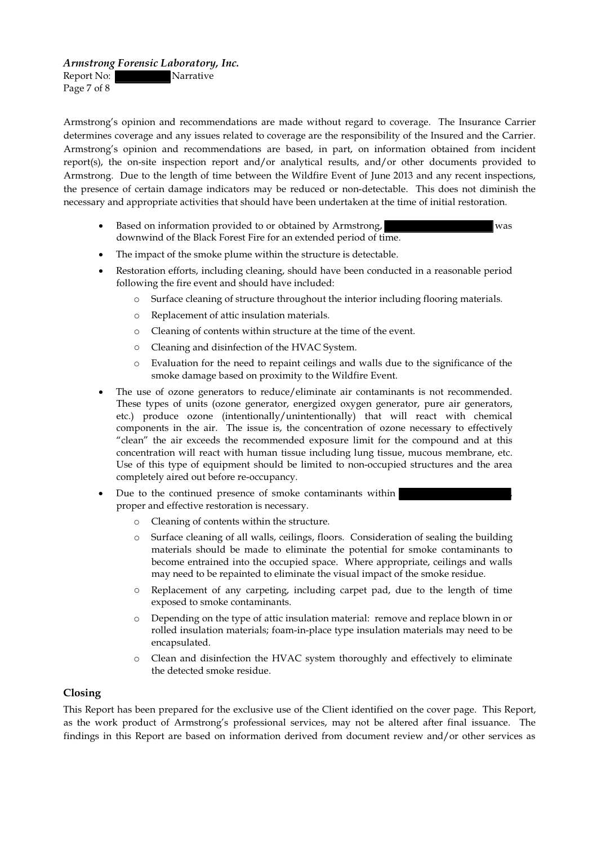Report No: Narrative Page 7 of 8

Armstrong's opinion and recommendations are made without regard to coverage. The Insurance Carrier determines coverage and any issues related to coverage are the responsibility of the Insured and the Carrier. Armstrong's opinion and recommendations are based, in part, on information obtained from incident report(s), the on-site inspection report and/or analytical results, and/or other documents provided to Armstrong. Due to the length of time between the Wildfire Event of June 2013 and any recent inspections, the presence of certain damage indicators may be reduced or non-detectable. This does not diminish the necessary and appropriate activities that should have been undertaken at the time of initial restoration.

- Based on information provided to or obtained by Armstrong, was was downwind of the Black Forest Fire for an extended period of time.
- The impact of the smoke plume within the structure is detectable.
- Restoration efforts, including cleaning, should have been conducted in a reasonable period following the fire event and should have included:
	- o Surface cleaning of structure throughout the interior including flooring materials.
	- o Replacement of attic insulation materials.
	- o Cleaning of contents within structure at the time of the event.
	- o Cleaning and disinfection of the HVAC System.
	- o Evaluation for the need to repaint ceilings and walls due to the significance of the smoke damage based on proximity to the Wildfire Event.
- The use of ozone generators to reduce/eliminate air contaminants is not recommended. These types of units (ozone generator, energized oxygen generator, pure air generators, etc.) produce ozone (intentionally/unintentionally) that will react with chemical components in the air. The issue is, the concentration of ozone necessary to effectively "clean" the air exceeds the recommended exposure limit for the compound and at this concentration will react with human tissue including lung tissue, mucous membrane, etc. Use of this type of equipment should be limited to non-occupied structures and the area completely aired out before re-occupancy.
- Due to the continued presence of smoke contaminants within | proper and effective restoration is necessary.
	- o Cleaning of contents within the structure.
	- o Surface cleaning of all walls, ceilings, floors. Consideration of sealing the building materials should be made to eliminate the potential for smoke contaminants to become entrained into the occupied space. Where appropriate, ceilings and walls may need to be repainted to eliminate the visual impact of the smoke residue.
	- o Replacement of any carpeting, including carpet pad, due to the length of time exposed to smoke contaminants.
	- o Depending on the type of attic insulation material: remove and replace blown in or rolled insulation materials; foam-in-place type insulation materials may need to be encapsulated.
	- o Clean and disinfection the HVAC system thoroughly and effectively to eliminate the detected smoke residue.

#### **Closing**

This Report has been prepared for the exclusive use of the Client identified on the cover page. This Report, as the work product of Armstrong's professional services, may not be altered after final issuance. The findings in this Report are based on information derived from document review and/or other services as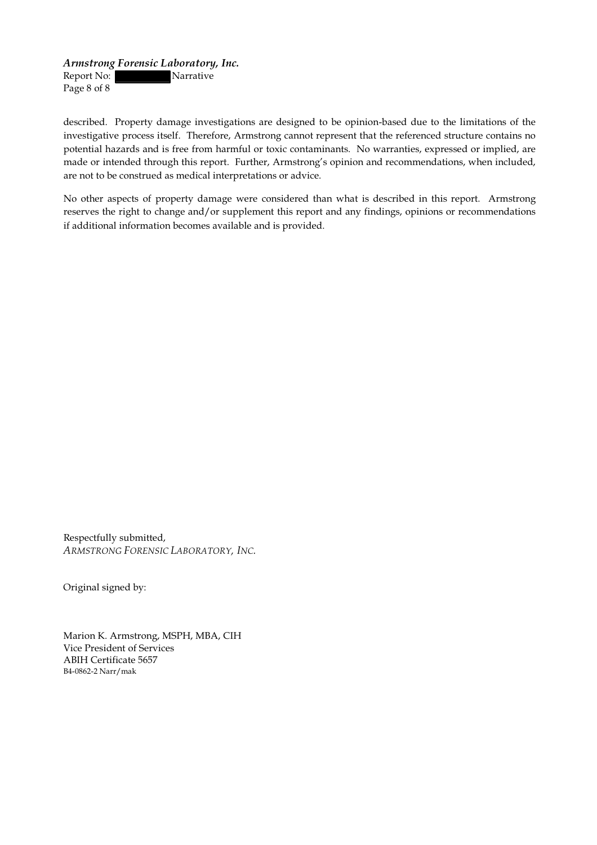Report No: Narrative Page 8 of 8

described. Property damage investigations are designed to be opinion-based due to the limitations of the investigative process itself. Therefore, Armstrong cannot represent that the referenced structure contains no potential hazards and is free from harmful or toxic contaminants. No warranties, expressed or implied, are made or intended through this report. Further, Armstrong's opinion and recommendations, when included, are not to be construed as medical interpretations or advice.

No other aspects of property damage were considered than what is described in this report. Armstrong reserves the right to change and/or supplement this report and any findings, opinions or recommendations if additional information becomes available and is provided.

Respectfully submitted, *ARMSTRONG FORENSIC LABORATORY,INC.*

Original signed by:

Marion K. Armstrong, MSPH, MBA, CIH Vice President of Services ABIH Certificate 5657 B4-0862-2 Narr/mak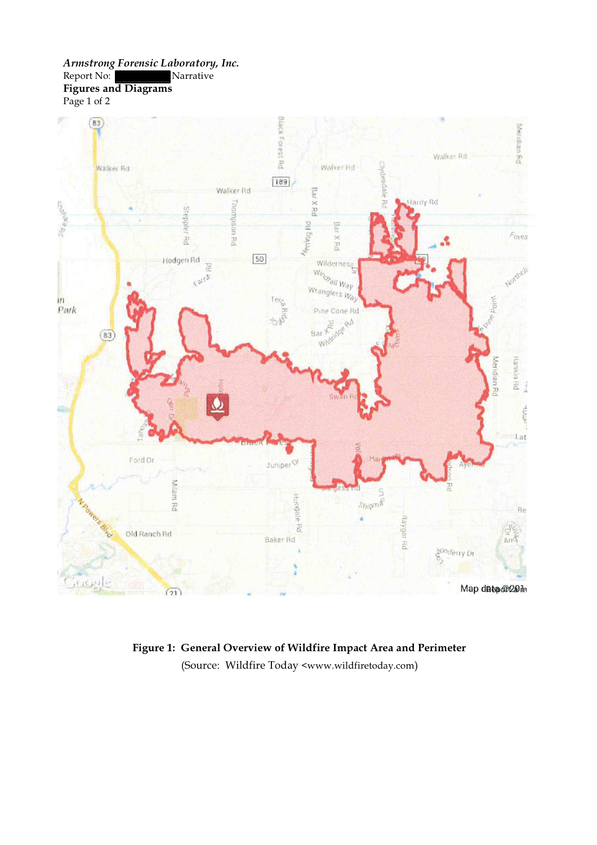*ArmstrongForensic Laboratory,Inc.* Report No: Narrative **Figures and Diagrams** Page 1 of 2



**Figure 1: General Overview of Wildfire Impact Area and Perimeter** (Source: Wildfire Today [<www.wildfiretoday.com](http://www.wildfiretoday.com))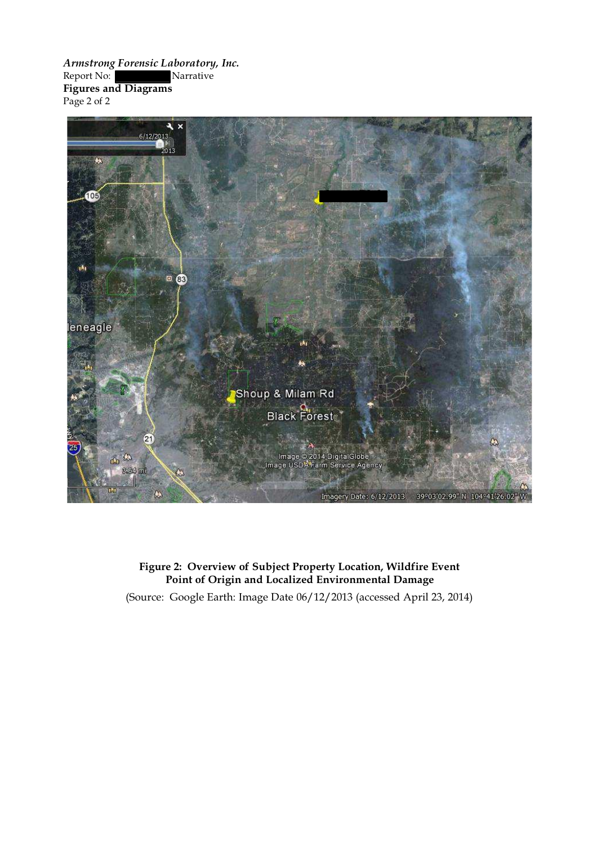*ArmstrongForensic Laboratory,Inc.* Report No: Narrative **Figures and Diagrams** Page 2 of 2



## **Figure 2: Overview of Subject Property Location,Wildfire Event Point of Origin and Localized Environmental Damage**

(Source: Google Earth: Image Date 06/12/2013 (accessed April 23, 2014)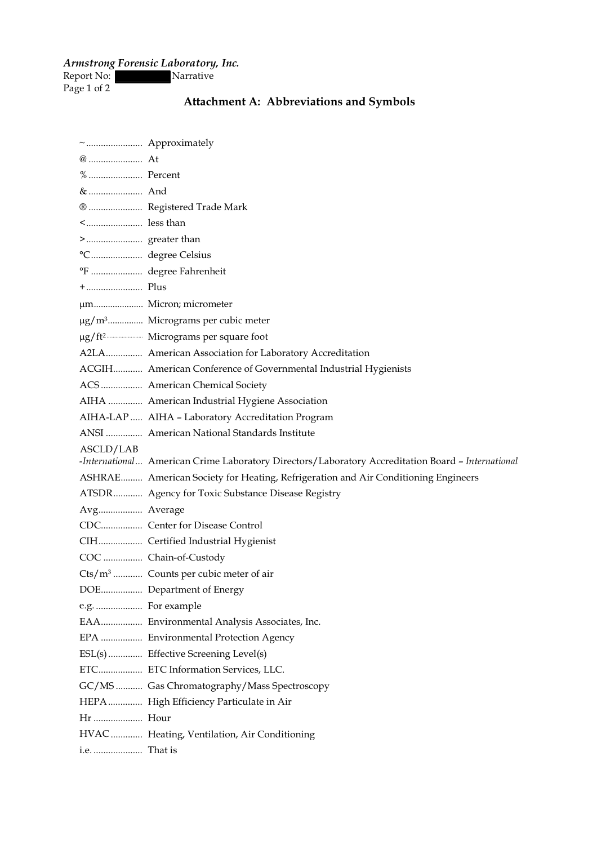Report No: Narrative

Page 1 of 2

# **Attachment A: Abbreviations and Symbols**

| % Percent         |                                                                                                   |
|-------------------|---------------------------------------------------------------------------------------------------|
| &  And            |                                                                                                   |
|                   | ®  Registered Trade Mark                                                                          |
| < less than       |                                                                                                   |
|                   |                                                                                                   |
|                   | °C degree Celsius                                                                                 |
|                   | °F  degree Fahrenheit                                                                             |
|                   |                                                                                                   |
|                   |                                                                                                   |
|                   | $\mu$ g/m <sup>3</sup> Micrograms per cubic meter                                                 |
|                   |                                                                                                   |
|                   | A2LA American Association for Laboratory Accreditation                                            |
|                   | ACGIH American Conference of Governmental Industrial Hygienists                                   |
|                   | ACS American Chemical Society                                                                     |
|                   | AIHA  American Industrial Hygiene Association                                                     |
|                   | AIHA-LAP  AIHA - Laboratory Accreditation Program                                                 |
|                   | ANSI  American National Standards Institute                                                       |
|                   |                                                                                                   |
| ASCLD/LAB         |                                                                                                   |
|                   | -International American Crime Laboratory Directors/Laboratory Accreditation Board - International |
|                   | ASHRAE American Society for Heating, Refrigeration and Air Conditioning Engineers                 |
|                   | ATSDR Agency for Toxic Substance Disease Registry                                                 |
| Avg Average       |                                                                                                   |
|                   | CDC Center for Disease Control                                                                    |
|                   | CIH Certified Industrial Hygienist                                                                |
|                   | COC  Chain-of-Custody                                                                             |
|                   | Cts/m <sup>3</sup> Counts per cubic meter of air                                                  |
|                   | DOE Department of Energy                                                                          |
| e.g.  For example |                                                                                                   |
|                   | EAA Environmental Analysis Associates, Inc.                                                       |
|                   | EPA  Environmental Protection Agency                                                              |
|                   | ESL(s)  Effective Screening Level(s)                                                              |
|                   | ETC ETC Information Services, LLC.                                                                |
|                   | GC/MS  Gas Chromatography/Mass Spectroscopy                                                       |
|                   | HEPA High Efficiency Particulate in Air                                                           |
|                   |                                                                                                   |
|                   | HVAC  Heating, Ventilation, Air Conditioning                                                      |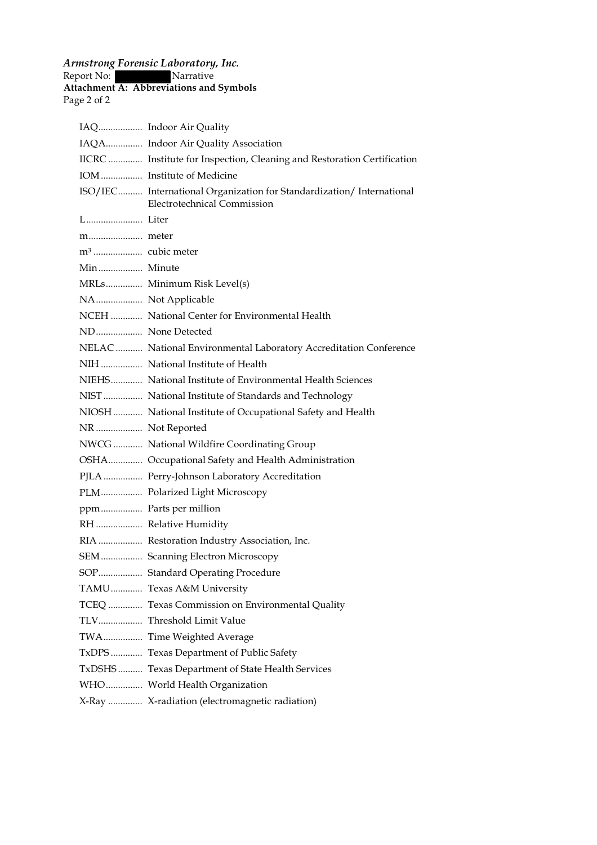Report No: Narrative

#### **Attachment A: Abbreviations and Symbols**

Page 2 of 2

|                 | IAQ Indoor Air Quality                                                                                      |
|-----------------|-------------------------------------------------------------------------------------------------------------|
|                 | IAQA Indoor Air Quality Association                                                                         |
|                 | IICRC  Institute for Inspection, Cleaning and Restoration Certification                                     |
|                 | IOM  Institute of Medicine                                                                                  |
|                 | ISO/IEC International Organization for Standardization/ International<br><b>Electrotechnical Commission</b> |
|                 |                                                                                                             |
|                 |                                                                                                             |
|                 |                                                                                                             |
| Min Minute      |                                                                                                             |
|                 | MRLs Minimum Risk Level(s)                                                                                  |
|                 | NA Not Applicable                                                                                           |
|                 | NCEH  National Center for Environmental Health                                                              |
|                 | ND None Detected                                                                                            |
|                 | NELAC  National Environmental Laboratory Accreditation Conference                                           |
|                 | NIH  National Institute of Health                                                                           |
|                 | NIEHS National Institute of Environmental Health Sciences                                                   |
|                 | NIST  National Institute of Standards and Technology                                                        |
|                 | NIOSH  National Institute of Occupational Safety and Health                                                 |
| NR Not Reported |                                                                                                             |
|                 | NWCG  National Wildfire Coordinating Group                                                                  |
|                 | OSHA Occupational Safety and Health Administration                                                          |
|                 | PJLA  Perry-Johnson Laboratory Accreditation                                                                |
|                 | PLM Polarized Light Microscopy                                                                              |
|                 | ppm Parts per million                                                                                       |
|                 | RH  Relative Humidity                                                                                       |
|                 | RIA  Restoration Industry Association, Inc.                                                                 |
|                 | SEM  Scanning Electron Microscopy                                                                           |
|                 | SOP Standard Operating Procedure                                                                            |
|                 | TAMU Texas A&M University                                                                                   |
|                 | TCEQ  Texas Commission on Environmental Quality                                                             |
|                 |                                                                                                             |
|                 | TWA Time Weighted Average                                                                                   |
|                 | TxDPS Texas Department of Public Safety                                                                     |
|                 | TxDSHS Texas Department of State Health Services                                                            |
|                 | WHO World Health Organization                                                                               |
|                 | X-Ray  X-radiation (electromagnetic radiation)                                                              |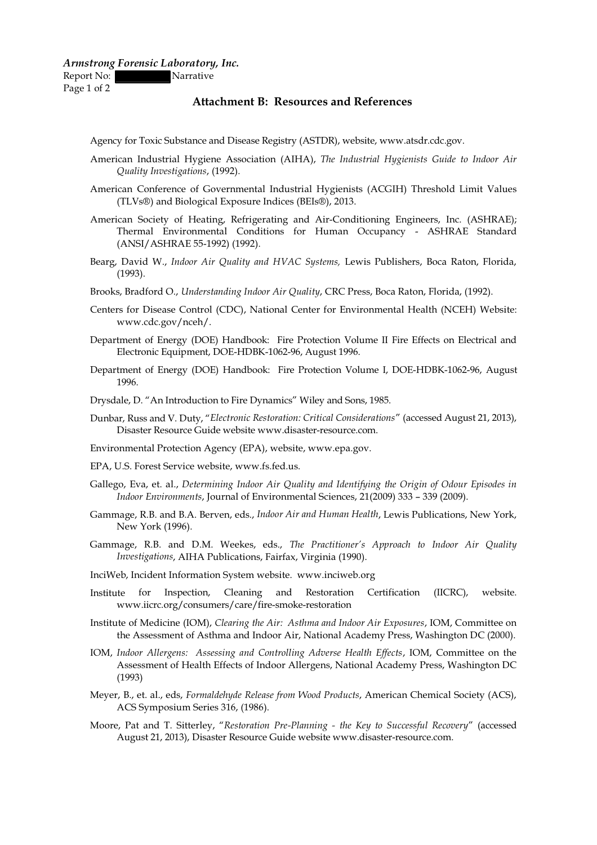Report No: Narrative

Page 1 of 2

#### **Attachment B: Resources and References**

- Agency for Toxic Substance and Disease Registry [\(ASTDR\),](http://www.atsdr.cdc.gov) website, www.atsdr.cdc.gov.
- American Industrial Hygiene Association (AIHA), *The Industrial Hygienists Guide to Indoor Air QualityInvestigations*, (1992).
- American Conference of Governmental Industrial Hygienists (ACGIH) Threshold Limit Values (TLVs®) and Biological Exposure Indices (BEIs®), 2013.
- American Society of Heating, Refrigerating and Air-Conditioning Engineers, Inc. (ASHRAE); Thermal Environmental Conditions for Human Occupancy - ASHRAE Standard (ANSI/ASHRAE 55-1992) (1992).
- Bearg, David W., *Indoor Air Quality and HVAC Systems,* Lewis Publishers, Boca Raton, Florida, (1993).
- Brooks, Bradford O., *Understanding Indoor Air Quality*, CRC Press, Boca Raton, Florida, (1992).
- Centers for Disease Control (CDC), National Center for Environmental Health (NCEH) Website: [www.cdc.gov/nceh/.](http://www.cdc.gov/nceh/)
- Department of Energy (DOE) Handbook: Fire Protection Volume II Fire Effects on Electrical and Electronic Equipment, DOE-HDBK-1062-96, August 1996.
- Department of Energy (DOE) Handbook: Fire Protection Volume I, DOE-HDBK-1062-96, August 1996.
- Drysdale, D. "An Introduction to Fire Dynamics" Wiley and Sons, 1985.
- Dunbar, Russ and V. Duty, "*Electronic Restoration: Critical Considerations*" (accessed August 21, 2013), Disaster Resource Guide web[site](http://www.disaster-resource.com) www.disaster-resource.com.
- Environmental [Protection](http://www.epa.gov) Agency (EPA), website, www.epa.gov.
- EPA, U.S. Forest Service [website,](http://www.fs.fed.us) www.fs.fed.us.
- Gallego, Eva, et. al., *Determining Indoor Air Quality and Identifying the Origin ofOdour Episodes in Indoor Environments*, Journal of Environmental Sciences, 21(2009) 333 – 339 (2009).
- Gammage, R.B. and B.A. Berven, eds., *Indoor Air and Human Health*, Lewis Publications, New York, New York (1996).
- Gammage, R.B. and D.M. Weekes, eds., *The Practitioner's Approach to Indoor Air Quality Investigations*, AIHA Publications, Fairfax, Virginia (1990).
- InciWeb, Incident [Information](http://www.inciweb.org) System website. www.inciweb.org
- Institute for Inspection, Cleaning and Restoration Certification (IICRC), website. [www.iicrc.org/consumers/care/fire-smoke-restoration](http://www.iicrc.org/consumers/care/fire-smoke-restoration)
- Institute of Medicine (IOM), *Clearingthe Air: Asthma and Indoor Air Exposures*, IOM, Committee on the Assessment of Asthma and Indoor Air, National Academy Press, Washington DC (2000).
- IOM, *Indoor Allergens: Assessing and Controlling Adverse Health Efects*, IOM, Committee on the Assessment of Health Effects of Indoor Allergens, National Academy Press, Washington DC (1993)
- Meyer, B., et. al., eds, *Formaldehyde Release from Wood Products*, American Chemical Society (ACS), ACS Symposium Series 316, (1986).
- Moore, Pat and T. Sitterley, "*Restoration Pre-Planning - the Key to Successful Recovery*" (accessed August 21, 2013), Disaster Resource Guide [website](http://www.disaster-resource.com) www.disaster-resource.com.